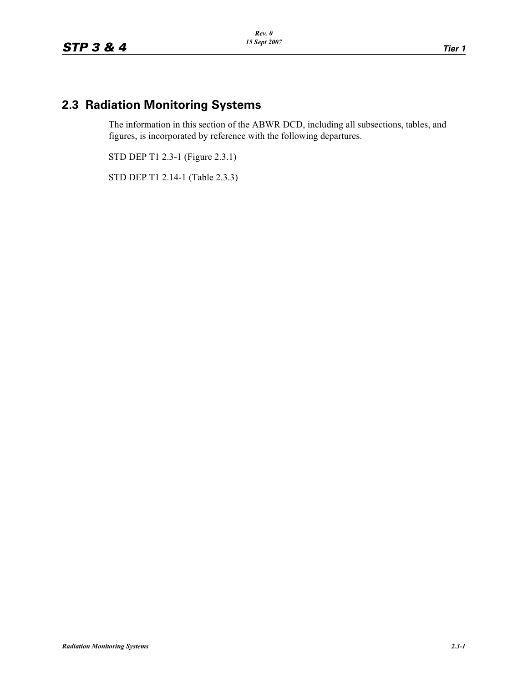# **2.3 Radiation Monitoring Systems**

The information in this section of the ABWR DCD, including all subsections, tables, and figures, is incorporated by reference with the following departures.

STD DEP T1 2.3-1 (Figure 2.3.1)

STD DEP T1 2.14-1 (Table 2.3.3)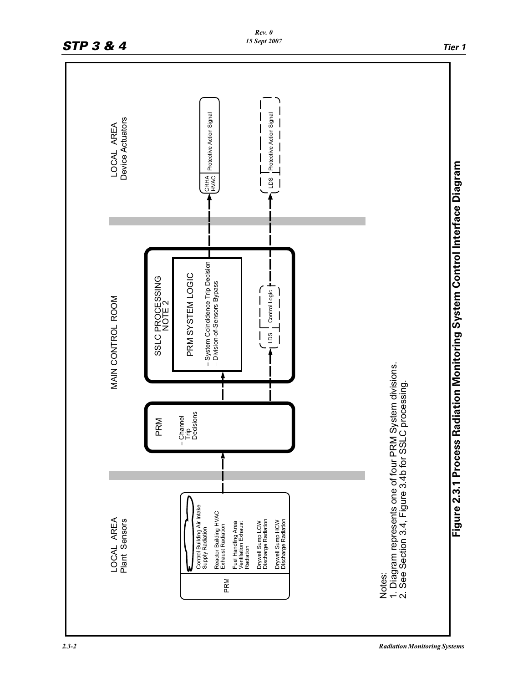

*2.3-2 Radiation Monitoring Systems*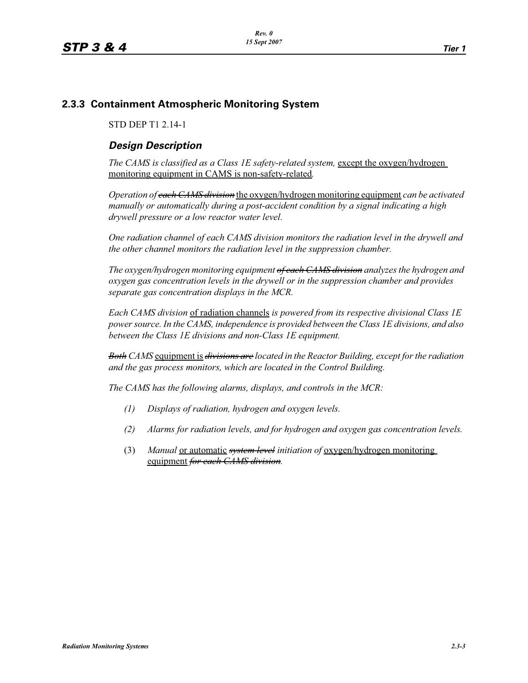### **2.3.3 Containment Atmospheric Monitoring System**

STD DEP T1 2.14-1

# *Design Description*

The CAMS is classified as a Class 1E safety-related system, except the oxygen/hydrogen monitoring equipment in CAMS is non-safety-related*.*

*Operation of each CAMS division* the oxygen/hydrogen monitoring equipment *can be activated manually or automatically during a post-accident condition by a signal indicating a high drywell pressure or a low reactor water level.* 

*One radiation channel of each CAMS division monitors the radiation level in the drywell and the other channel monitors the radiation level in the suppression chamber.*

*The oxygen/hydrogen monitoring equipment of each CAMS division analyzes the hydrogen and oxygen gas concentration levels in the drywell or in the suppression chamber and provides separate gas concentration displays in the MCR.*

*Each CAMS division* of radiation channels *is powered from its respective divisional Class 1E power source. In the CAMS, independence is provided between the Class 1E divisions, and also between the Class 1E divisions and non-Class 1E equipment.*

*Both CAMS* equipment is *divisions are located in the Reactor Building, except for the radiation and the gas process monitors, which are located in the Control Building.*

*The CAMS has the following alarms, displays, and controls in the MCR:*

- *(1) Displays of radiation, hydrogen and oxygen levels.*
- *(2) Alarms for radiation levels, and for hydrogen and oxygen gas concentration levels.*
- (3) *Manual* or automatic *system level initiation of* oxygen/hydrogen monitoring equipment *for each CAMS division.*